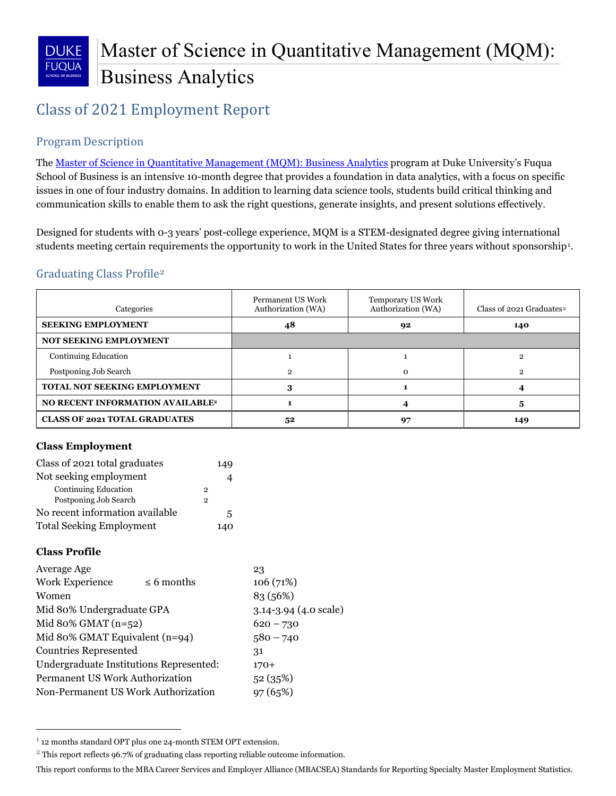

# Class of 2021 Employment Report

# Program Description

The [Master of Science in Quantitative Management \(MQM\): Business Analytics](http://www.fuqua.duke.edu/master-quantitative-management/academics/courses/) program at Duke University's Fuqua School of Business is an intensive 10-month degree that provides a foundation in data analytics, with a focus on specific issues in one of four industry domains. In addition to learning data science tools, students build critical thinking and communication skills to enable them to ask the right questions, generate insights, and present solutions effectively.

Designed for students with 0-3 years' post-college experience, MQM is a STEM-designated degree giving international students meeting certain requirements the opportunity to work in the United States for three years without sponsorship**[1](#page-0-0)**.

# Graduating Class Profile[2](#page-0-1)

| Categories                              | Permanent US Work<br>Authorization (WA) | Temporary US Work<br>Authorization (WA) | Class of 2021 Graduates <sup>2</sup> |
|-----------------------------------------|-----------------------------------------|-----------------------------------------|--------------------------------------|
| <b>SEEKING EMPLOYMENT</b>               | 48<br>92                                |                                         | 140                                  |
| <b>NOT SEEKING EMPLOYMENT</b>           |                                         |                                         |                                      |
| <b>Continuing Education</b>             |                                         |                                         | 9                                    |
| Postponing Job Search                   | 2                                       | $\Omega$                                | 2                                    |
| <b>TOTAL NOT SEEKING EMPLOYMENT</b>     | 3                                       |                                         |                                      |
| <b>NO RECENT INFORMATION AVAILABLE2</b> |                                         |                                         |                                      |
| <b>CLASS OF 2021 TOTAL GRADUATES</b>    | 52                                      | 97                                      | 149                                  |

#### **Class Employment**

| Class of 2021 total graduates   |   | 149 |
|---------------------------------|---|-----|
| Not seeking employment          |   | 4   |
| <b>Continuing Education</b>     | 2 |     |
| Postponing Job Search           | 2 |     |
| No recent information available |   | 5   |
| <b>Total Seeking Employment</b> |   | 140 |

#### **Class Profile**

l

| Average Age                             |                       | 23          |  |  |
|-----------------------------------------|-----------------------|-------------|--|--|
| Work Experience                         | $\leq 6$ months       | 106(71%)    |  |  |
| Women                                   |                       | 83 (56%)    |  |  |
| Mid 80% Undergraduate GPA               | 3.14-3.94 (4.0 scale) |             |  |  |
| Mid 80% GMAT $(n=52)$                   | $620 - 730$           |             |  |  |
| Mid 80% GMAT Equivalent (n=94)          |                       | $580 - 740$ |  |  |
| <b>Countries Represented</b>            |                       | 31          |  |  |
| Undergraduate Institutions Represented: |                       | $170+$      |  |  |
| Permanent US Work Authorization         |                       | 52(35%)     |  |  |
| Non-Permanent US Work Authorization     |                       | 97(65%)     |  |  |
|                                         |                       |             |  |  |

<span id="page-0-0"></span><sup>1</sup> 12 months standard OPT plus one 24-month STEM OPT extension.

<span id="page-0-1"></span><sup>&</sup>lt;sup>2</sup> This report reflects 96.7% of graduating class reporting reliable outcome information.

This report conforms to the MBA Career Services and Employer Alliance (MBACSEA) Standards for Reporting Specialty Master Employment Statistics.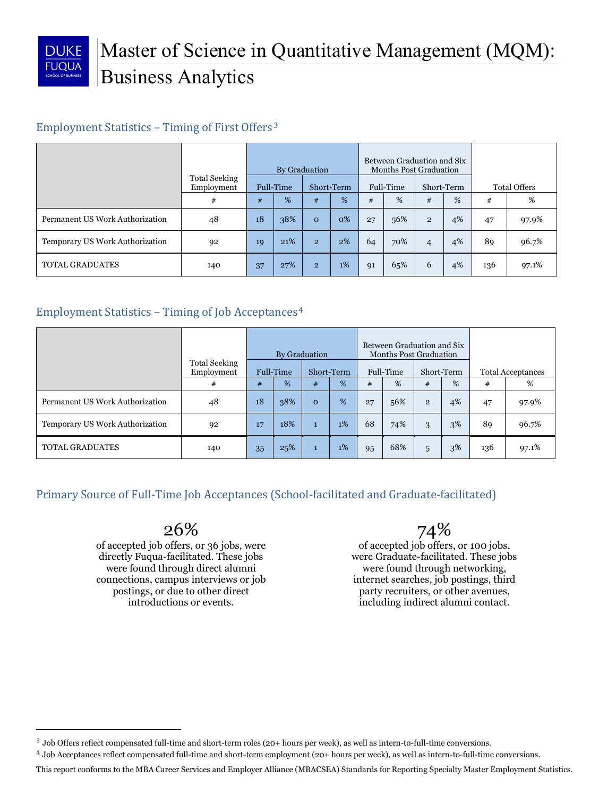

l

# Employment Statistics – Timing of First Offers[3](#page-1-0)

|                                 |                                    | By Graduation           |     |                         | Between Graduation and Six<br><b>Months Post Graduation</b> |    |     |                     |    |     |       |
|---------------------------------|------------------------------------|-------------------------|-----|-------------------------|-------------------------------------------------------------|----|-----|---------------------|----|-----|-------|
|                                 | <b>Total Seeking</b><br>Employment | Full-Time<br>Short-Term |     | Full-Time<br>Short-Term |                                                             |    |     | <b>Total Offers</b> |    |     |       |
|                                 | #                                  | #                       | %   | #                       | %                                                           | #  | %   | #                   | %  | #   | %     |
| Permanent US Work Authorization | 48                                 | 18                      | 38% | $\mathbf{O}$            | 0%                                                          | 27 | 56% | $\overline{2}$      | 4% | 47  | 97.9% |
| Temporary US Work Authorization | 92                                 | 19                      | 21% | $\overline{2}$          | 2%                                                          | 64 | 70% | $\overline{4}$      | 4% | 89  | 96.7% |
| <b>TOTAL GRADUATES</b>          | 140                                | 37                      | 27% | $\overline{2}$          | 1%                                                          | 91 | 65% | 6                   | 4% | 136 | 97.1% |

# Employment Statistics – Timing of Job Acceptances[4](#page-1-1)

|                                 |                                    |                         |     | By Graduation |    |    |            |                          | Between Graduation and Six<br><b>Months Post Graduation</b> |     |       |
|---------------------------------|------------------------------------|-------------------------|-----|---------------|----|----|------------|--------------------------|-------------------------------------------------------------|-----|-------|
|                                 | <b>Total Seeking</b><br>Employment | Full-Time<br>Short-Term |     | Full-Time     |    |    | Short-Term | <b>Total Acceptances</b> |                                                             |     |       |
|                                 | #                                  | #                       | %   | #             | %  | #  | %          | #                        | %                                                           | #   | %     |
| Permanent US Work Authorization | 48                                 | 18                      | 38% | $\mathbf{o}$  | %  | 27 | 56%        | $\overline{2}$           | 4%                                                          | 47  | 97.9% |
| Temporary US Work Authorization | 92                                 | 17                      | 18% | $\mathbf{1}$  | 1% | 68 | 74%        | 3                        | 3%                                                          | 89  | 96.7% |
| <b>TOTAL GRADUATES</b>          | 140                                | 35                      | 25% | $\mathbf{1}$  | 1% | 95 | 68%        | 5                        | 3%                                                          | 136 | 97.1% |

Primary Source of Full-Time Job Acceptances (School-facilitated and Graduate-facilitated)

# 26%

of accepted job offers, or 36 jobs, were directly Fuqua-facilitated. These jobs were found through direct alumni connections, campus interviews or job postings, or due to other direct introductions or events.

# 74%

of accepted job offers, or 100 jobs, were Graduate-facilitated. These jobs were found through networking, internet searches, job postings, third party recruiters, or other avenues, including indirect alumni contact.

<span id="page-1-0"></span><sup>3</sup> Job Offers reflect compensated full-time and short-term roles (20+ hours per week), as well as intern-to-full-time conversions.

<span id="page-1-1"></span><sup>4</sup> Job Acceptances reflect compensated full-time and short-term employment (20+ hours per week), as well as intern-to-full-time conversions.

This report conforms to the MBA Career Services and Employer Alliance (MBACSEA) Standards for Reporting Specialty Master Employment Statistics.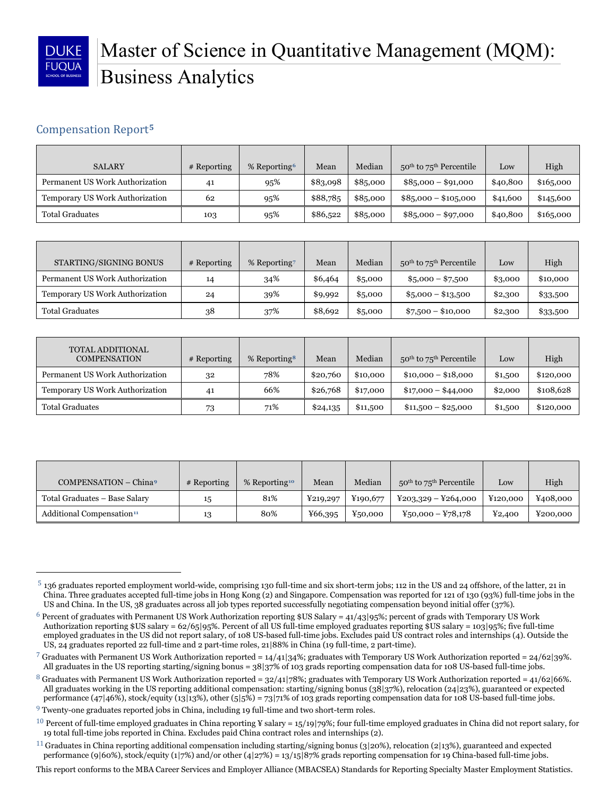

**.** 

# Master of Science in Quantitative Management (MQM): Business Analytics

## Compensation Report**[5](#page-2-0)**

| <b>SALARY</b>                   | $#$ Reporting | % Reporting <sup>6</sup> | Mean     | Median   | $50th$ to $75th$ Percentile | Low      | High      |
|---------------------------------|---------------|--------------------------|----------|----------|-----------------------------|----------|-----------|
| Permanent US Work Authorization | 41            | 95%                      | \$83,098 | \$85,000 | $$85,000 - $91,000$         | \$40,800 | \$16,000  |
| Temporary US Work Authorization | 62            | 95%                      | \$88,785 | \$85,000 | $$85,000 - $105,000$        | \$41,600 | \$145,600 |
| <b>Total Graduates</b>          | 103           | 95%                      | \$86,522 | \$85,000 | $$85,000 - $97,000$         | \$40,800 | \$165,000 |

| STARTING/SIGNING BONUS          | $#$ Reporting | % Reporting | Mean    | Median  | $50th$ to $75th$ Percentile | Low     | High     |
|---------------------------------|---------------|-------------|---------|---------|-----------------------------|---------|----------|
| Permanent US Work Authorization | 14            | 34%         | \$6,464 | \$5,000 | $$5,000 - $7,500$           | \$3,000 | \$10,000 |
| Temporary US Work Authorization | 24            | 39%         | \$9,992 | \$5,000 | $$5,000 - $13,500$          | \$2,300 | \$33,500 |
| <b>Total Graduates</b>          | 38            | 37%         | \$8,692 | \$5,000 | $\$7,500 - \$10,000$        | \$2,300 | \$33,500 |

| TOTAL ADDITIONAL<br><b>COMPENSATION</b> | # Reporting | % Reporting <sup>8</sup> | Mean     | Median   | $50th$ to $75th$ Percentile | Low     | High      |
|-----------------------------------------|-------------|--------------------------|----------|----------|-----------------------------|---------|-----------|
| Permanent US Work Authorization         | 32          | 78%                      | \$20,760 | \$10,000 | $$10,000 - $18,000$         | \$1,500 | \$120,000 |
| Temporary US Work Authorization         | 41          | 66%                      | \$26,768 | \$17,000 | $$17,000 - $44,000$         | \$2,000 | \$108,628 |
| <b>Total Graduates</b>                  | 73          | 71%                      | \$24,135 | \$11,500 | $$11,500 - $25,000$         | \$1,500 | \$120,000 |

| COMPENSATION - China <sup>9</sup>     | # Reporting | % Reporting <sup>10</sup> | Mean     | Median   | $50^{\text{th}}$ to $75^{\text{th}}$ Percentile | Low      | High     |
|---------------------------------------|-------------|---------------------------|----------|----------|-------------------------------------------------|----------|----------|
| Total Graduates - Base Salary         | 15          | 81%                       | ¥219,297 | ¥190,677 | $Y203,329 - Y264,000$                           | ¥120,000 | ¥408,000 |
| Additional Compensation <sup>11</sup> | 13          | 80%                       | ¥66,395  | ¥50,000  | $Y_50,000 - Y78,178$                            | ¥2,400   | ¥200,000 |

<span id="page-2-0"></span><sup>5</sup> 136 graduates reported employment world-wide, comprising 130 full-time and six short-term jobs; 112 in the US and 24 offshore, of the latter, 21 in China. Three graduates accepted full-time jobs in Hong Kong (2) and Singapore. Compensation was reported for 121 of 130 (93%) full-time jobs in the US and China. In the US, 38 graduates across all job types reported successfully negotiating compensation beyond initial offer (37%).

<span id="page-2-1"></span><sup>&</sup>lt;sup>6</sup> Percent of graduates with Permanent US Work Authorization reporting \$US Salary =  $41/43$  |95%; percent of grads with Temporary US Work Authorization reporting \$US salary = 62/65|95%. Percent of all US full-time employed graduates reporting \$US salary = 103|95%; five full-time employed graduates in the US did not report salary, of 108 US-based full-time jobs. Excludes paid US contract roles and internships (4). Outside the US, 24 graduates reported 22 full-time and 2 part-time roles, 21|88% in China (19 full-time, 2 part-time).

<span id="page-2-2"></span><sup>&</sup>lt;sup>7</sup> Graduates with Permanent US Work Authorization reported =  $14/41|34\%$ ; graduates with Temporary US Work Authorization reported =  $24/62|39\%$ . All graduates in the US reporting starting/signing bonus = 38|37% of 103 grads reporting compensation data for 108 US-based full-time jobs.

<span id="page-2-3"></span> $8$  Graduates with Permanent US Work Authorization reported = 32/41|78%; graduates with Temporary US Work Authorization reported = 41/62|66%. All graduates working in the US reporting additional compensation: starting/signing bonus (38|37%), relocation (24|23%), guaranteed or expected performance (47|46%), stock/equity (13|13%), other (5|5%) = 73|71% of 103 grads reporting compensation data for 108 US-based full-time jobs.

<span id="page-2-4"></span><sup>&</sup>lt;sup>9</sup> Twenty-one graduates reported jobs in China, including 19 full-time and two short-term roles.

<span id="page-2-5"></span><sup>&</sup>lt;sup>10</sup> Percent of full-time employed graduates in China reporting ¥ salary = 15/19|79%; four full-time employed graduates in China did not report salary, for 19 total full-time jobs reported in China. Excludes paid China contract roles and internships (2).

<span id="page-2-6"></span><sup>11</sup> Graduates in China reporting additional compensation including starting/signing bonus (3|20%), relocation (2|13%), guaranteed and expected performance (9|60%), stock/equity (1|7%) and/or other (4|27%) = 13/15|87% grads reporting compensation for 19 China-based full-time jobs.

This report conforms to the MBA Career Services and Employer Alliance (MBACSEA) Standards for Reporting Specialty Master Employment Statistics.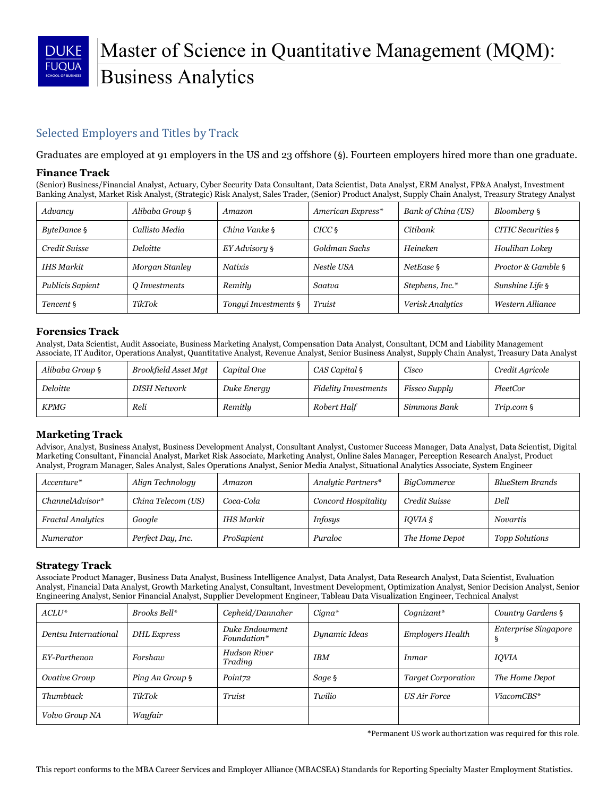

# Master of Science in Quantitative Management (MQM): Business Analytics

## Selected Employers and Titles by Track

Graduates are employed at 91 employers in the US and 23 offshore (§). Fourteen employers hired more than one graduate.

#### **Finance Track**

(Senior) Business/Financial Analyst, Actuary, Cyber Security Data Consultant, Data Scientist, Data Analyst, ERM Analyst, FP&A Analyst, Investment Banking Analyst, Market Risk Analyst, (Strategic) Risk Analyst, Sales Trader, (Senior) Product Analyst, Supply Chain Analyst, Treasury Strategy Analyst

| Advancy          | Alibaba Group §      | Amazon               | American Express* | Bank of China (US) | Bloomberg §        |
|------------------|----------------------|----------------------|-------------------|--------------------|--------------------|
| ByteDance §      | Callisto Media       | China Vanke §        | $CICC\$           | Citibank           | CITIC Securities § |
| Credit Suisse    | <i>Deloitte</i>      | EY Advisory §        | Goldman Sachs     | Heineken           | Houlihan Lokey     |
| IHS Markit       | Morgan Stanley       | <b>Natixis</b>       | Nestle USA        | NetEase §          | Proctor & Gamble § |
| Publicis Sapient | <i>Q Investments</i> | Remitly              | Saatva            | Stephens, Inc.*    | Sunshine Life §    |
| Tencent §        | TikTok               | Tongui Investments § | Truist            | Verisk Analytics   | Western Alliance   |

#### **Forensics Track**

Analyst, Data Scientist, Audit Associate, Business Marketing Analyst, Compensation Data Analyst, Consultant, DCM and Liability Management Associate, IT Auditor, Operations Analyst, Quantitative Analyst, Revenue Analyst, Senior Business Analyst, Supply Chain Analyst, Treasury Data Analyst

| Alibaba Group § | Brookfield Asset Mgt | Capital One | CAS Capital §               | Cisco         | Credit Agricole |
|-----------------|----------------------|-------------|-----------------------------|---------------|-----------------|
| Deloitte        | DISH Network         | Duke Energy | <b>Fidelity Investments</b> | Fissco Supply | FleetCor        |
| <b>KPMG</b>     | Reli                 | Remitly     | Robert Half                 | Simmons Bank  | Trip.com §      |

#### **Marketing Track**

Advisor, Analyst, Business Analyst, Business Development Analyst, Consultant Analyst, Customer Success Manager, Data Analyst, Data Scientist, Digital Marketing Consultant, Financial Analyst, Market Risk Associate, Marketing Analyst, Online Sales Manager, Perception Research Analyst, Product Analyst, Program Manager, Sales Analyst, Sales Operations Analyst, Senior Media Analyst, Situational Analytics Associate, System Engineer

| Accenture*               | Align Technology   | Amazon     | Analytic Partners*  | BigCommerce    | BlueStem Brands |
|--------------------------|--------------------|------------|---------------------|----------------|-----------------|
| $ChannelAdvisor*$        | China Telecom (US) | Coca-Cola  | Concord Hospitality | Credit Suisse  | Dell            |
| <b>Fractal Analytics</b> | Google             | IHS Markit | <i>Infosys</i>      | $IOVIA$ $\S$   | <b>Novartis</b> |
| <i>Numerator</i>         | Perfect Day, Inc.  | ProSapient | Puraloc             | The Home Depot | Topp Solutions  |

#### **Strategy Track**

Associate Product Manager, Business Data Analyst, Business Intelligence Analyst, Data Analyst, Data Research Analyst, Data Scientist, Evaluation Analyst, Financial Data Analyst, Growth Marketing Analyst, Consultant, Investment Development, Optimization Analyst, Senior Decision Analyst, Senior Engineering Analyst, Senior Financial Analyst, Supplier Development Engineer, Tableau Data Visualization Engineer, Technical Analyst

| $ACLU^*$              | Brooks Bell*           | Cepheid/Dannaher              | Cigna*        | $Coanizant*$              | Country Gardens §                |
|-----------------------|------------------------|-------------------------------|---------------|---------------------------|----------------------------------|
| Dentsu International  | <b>DHL</b> Express     | Duke Endowment<br>Foundation* | Dynamic Ideas | <b>Employers Health</b>   | <b>Enterprise Singapore</b><br>9 |
| EY-Parthenon          | Forshaw                | Hudson River<br>Trading       | <b>IBM</b>    | <i>Inmar</i>              | <b>IOVIA</b>                     |
| Ovative Group         | <i>Ping An Group</i> § | Point72                       | Sage §        | <b>Target Corporation</b> | The Home Depot                   |
| Thumbtack             | TikTok                 | Truist                        | Twilio        | <b>US Air Force</b>       | ViacomCBS*                       |
| <i>Volvo Group NA</i> | Wayfair                |                               |               |                           |                                  |

\*Permanent US work authorization was required for this role.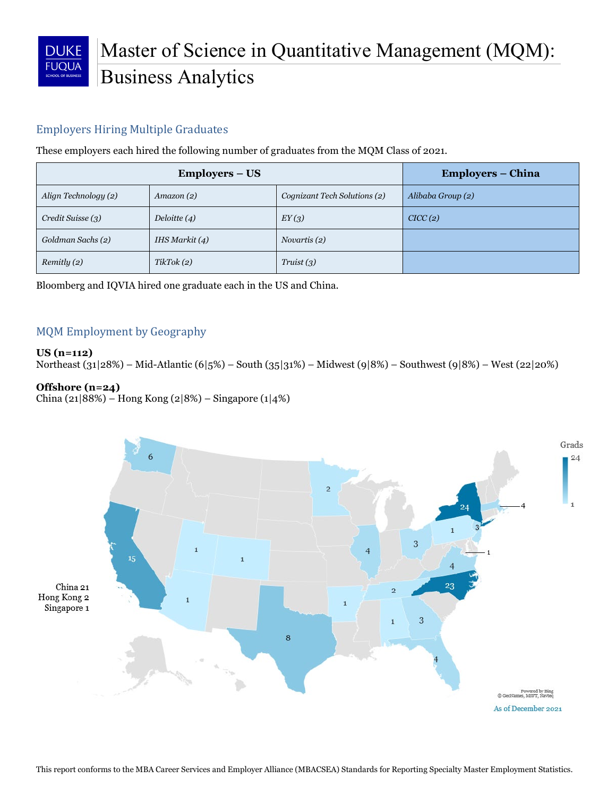

# Master of Science in Quantitative Management (MQM): Business Analytics

## Employers Hiring Multiple Graduates

These employers each hired the following number of graduates from the MQM Class of 2021.

|                      | Employers – China |                              |                   |
|----------------------|-------------------|------------------------------|-------------------|
| Align Technology (2) | $A$ mazon $(2)$   | Cognizant Tech Solutions (2) | Alibaba Group (2) |
| Credit Suisse (3)    | Deloitte $(4)$    | EY(3)                        | CICC(2)           |
| Goldman Sachs (2)    | IHS Markit $(4)$  | Novartis (2)                 |                   |
| Remitly (2)          | TikTok(2)         | Truist(3)                    |                   |

Bloomberg and IQVIA hired one graduate each in the US and China.

## MQM Employment by Geography

#### **US (n=112)**

Northeast (31|28%) – Mid-Atlantic (6|5%) – South (35|31%) – Midwest (9|8%) – Southwest (9|8%) – West (22|20%)

#### **Offshore (n=24)**

China (21|88%) – Hong Kong (2|8%) – Singapore (1|4%)